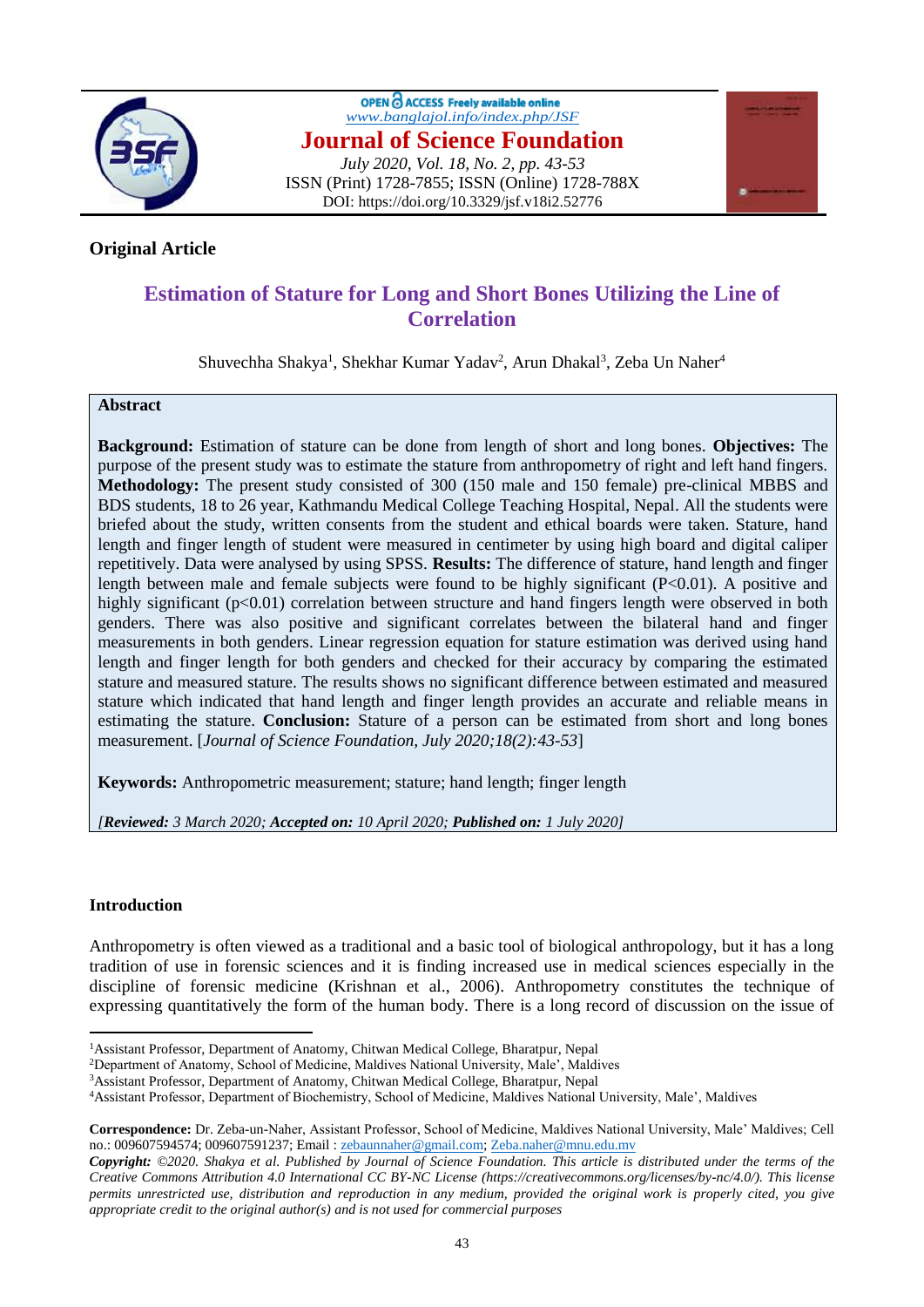

OPEN C ACCESS Freely available online *[www.banglajol.info/index.php/JSF](http://www.banglajol.info/index.php/JSF)* **Journal of Science Foundation** *July 2020, Vol. 18, No. 2, pp. 43-53* ISSN (Print) 1728-7855; ISSN (Online) 1728-788X DOI: https://doi.org/10.3329/jsf.v18i2.52776



## **Original Article**

# **Estimation of Stature for Long and Short Bones Utilizing the Line of Correlation**

Shuvechha Shakya<sup>1</sup>, Shekhar Kumar Yadav<sup>2</sup>, Arun Dhakal<sup>3</sup>, Zeba Un Naher<sup>4</sup>

#### **Abstract**

**Background:** Estimation of stature can be done from length of short and long bones. **Objectives:** The purpose of the present study was to estimate the stature from anthropometry of right and left hand fingers. **Methodology:** The present study consisted of 300 (150 male and 150 female) pre-clinical MBBS and BDS students, 18 to 26 year, Kathmandu Medical College Teaching Hospital, Nepal. All the students were briefed about the study, written consents from the student and ethical boards were taken. Stature, hand length and finger length of student were measured in centimeter by using high board and digital caliper repetitively. Data were analysed by using SPSS. **Results:** The difference of stature, hand length and finger length between male and female subjects were found to be highly significant  $(P<0.01)$ . A positive and highly significant (p<0.01) correlation between structure and hand fingers length were observed in both genders. There was also positive and significant correlates between the bilateral hand and finger measurements in both genders. Linear regression equation for stature estimation was derived using hand length and finger length for both genders and checked for their accuracy by comparing the estimated stature and measured stature. The results shows no significant difference between estimated and measured stature which indicated that hand length and finger length provides an accurate and reliable means in estimating the stature. **Conclusion:** Stature of a person can be estimated from short and long bones measurement. [*Journal of Science Foundation, July 2020;18(2):43-53*]

**Keywords:** Anthropometric measurement; stature; hand length; finger length

*[Reviewed: 3 March 2020; Accepted on: 10 April 2020; Published on: 1 July 2020]*

## **Introduction**

Anthropometry is often viewed as a traditional and a basic tool of biological anthropology, but it has a long tradition of use in forensic sciences and it is finding increased use in medical sciences especially in the discipline of forensic medicine (Krishnan et al., 2006). Anthropometry constitutes the technique of expressing quantitatively the form of the human body. There is a long record of discussion on the issue of

<sup>2</sup>Department of Anatomy, School of Medicine, Maldives National University, Male', Maldives

 $\ddot{\phantom{a}}$ <sup>1</sup>Assistant Professor, Department of Anatomy, Chitwan Medical College, Bharatpur, Nepal

<sup>3</sup>Assistant Professor, Department of Anatomy, Chitwan Medical College, Bharatpur, Nepal

<sup>4</sup>Assistant Professor, Department of Biochemistry, School of Medicine, Maldives National University, Male', Maldives

**Correspondence:** Dr. Zeba-un-Naher, Assistant Professor, School of Medicine, Maldives National University, Male' Maldives; Cell no.: 009607594574; 009607591237; Email [: zebaunnaher@gmail.com;](mailto:zebaunnaher@gmail.com) [Zeba.naher@mnu.edu.mv](mailto:Zeba.naher@mnu.edu.mv)

*Copyright: ©2020. Shakya et al. Published by Journal of Science Foundation. This article is distributed under the terms of the Creative Commons Attribution 4.0 International CC BY-NC License (https://creativecommons.org/licenses/by-nc/4.0/). This license permits unrestricted use, distribution and reproduction in any medium, provided the original work is properly cited, you give appropriate credit to the original author(s) and is not used for commercial purposes*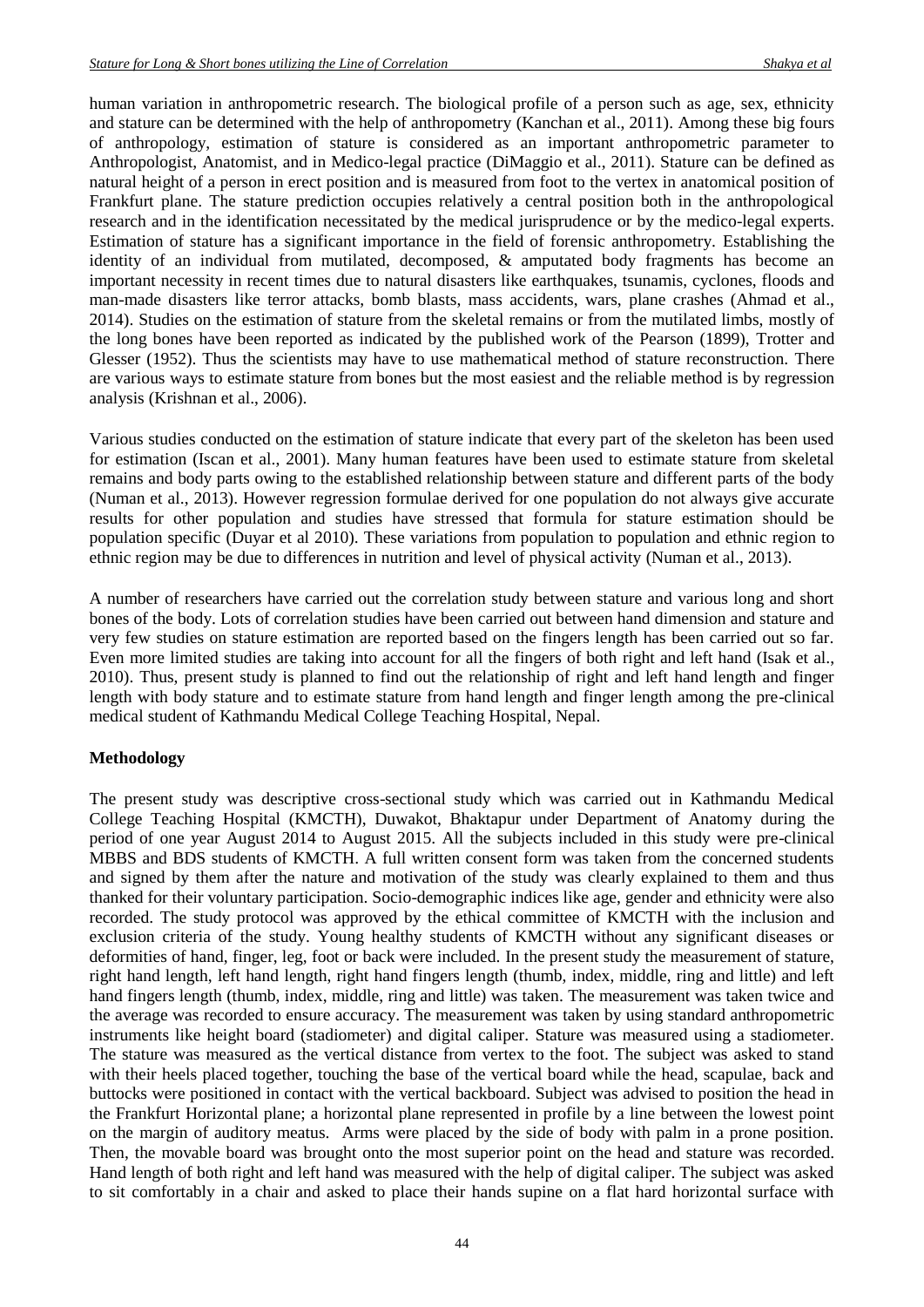human variation in anthropometric research. The biological profile of a person such as age, sex, ethnicity and stature can be determined with the help of anthropometry (Kanchan et al., 2011). Among these big fours of anthropology, estimation of stature is considered as an important anthropometric parameter to Anthropologist, Anatomist, and in Medico-legal practice (DiMaggio et al., 2011). Stature can be defined as natural height of a person in erect position and is measured from foot to the vertex in anatomical position of Frankfurt plane. The stature prediction occupies relatively a central position both in the anthropological research and in the identification necessitated by the medical jurisprudence or by the medico-legal experts. Estimation of stature has a significant importance in the field of forensic anthropometry. Establishing the identity of an individual from mutilated, decomposed, & amputated body fragments has become an important necessity in recent times due to natural disasters like earthquakes, tsunamis, cyclones, floods and man-made disasters like terror attacks, bomb blasts, mass accidents, wars, plane crashes (Ahmad et al., 2014). Studies on the estimation of stature from the skeletal remains or from the mutilated limbs, mostly of the long bones have been reported as indicated by the published work of the Pearson (1899), Trotter and Glesser (1952). Thus the scientists may have to use mathematical method of stature reconstruction. There are various ways to estimate stature from bones but the most easiest and the reliable method is by regression analysis (Krishnan et al., 2006).

Various studies conducted on the estimation of stature indicate that every part of the skeleton has been used for estimation (Iscan et al., 2001). Many human features have been used to estimate stature from skeletal remains and body parts owing to the established relationship between stature and different parts of the body (Numan et al., 2013). However regression formulae derived for one population do not always give accurate results for other population and studies have stressed that formula for stature estimation should be population specific (Duyar et al 2010). These variations from population to population and ethnic region to ethnic region may be due to differences in nutrition and level of physical activity (Numan et al., 2013).

A number of researchers have carried out the correlation study between stature and various long and short bones of the body. Lots of correlation studies have been carried out between hand dimension and stature and very few studies on stature estimation are reported based on the fingers length has been carried out so far. Even more limited studies are taking into account for all the fingers of both right and left hand (Isak et al., 2010). Thus, present study is planned to find out the relationship of right and left hand length and finger length with body stature and to estimate stature from hand length and finger length among the pre-clinical medical student of Kathmandu Medical College Teaching Hospital, Nepal.

## **Methodology**

The present study was descriptive cross-sectional study which was carried out in Kathmandu Medical College Teaching Hospital (KMCTH), Duwakot, Bhaktapur under Department of Anatomy during the period of one year August 2014 to August 2015. All the subjects included in this study were pre-clinical MBBS and BDS students of KMCTH. A full written consent form was taken from the concerned students and signed by them after the nature and motivation of the study was clearly explained to them and thus thanked for their voluntary participation. Socio-demographic indices like age, gender and ethnicity were also recorded. The study protocol was approved by the ethical committee of KMCTH with the inclusion and exclusion criteria of the study. Young healthy students of KMCTH without any significant diseases or deformities of hand, finger, leg, foot or back were included. In the present study the measurement of stature, right hand length, left hand length, right hand fingers length (thumb, index, middle, ring and little) and left hand fingers length (thumb, index, middle, ring and little) was taken. The measurement was taken twice and the average was recorded to ensure accuracy. The measurement was taken by using standard anthropometric instruments like height board (stadiometer) and digital caliper. Stature was measured using a stadiometer. The stature was measured as the vertical distance from vertex to the foot. The subject was asked to stand with their heels placed together, touching the base of the vertical board while the head, scapulae, back and buttocks were positioned in contact with the vertical backboard. Subject was advised to position the head in the Frankfurt Horizontal plane; a horizontal plane represented in profile by a line between the lowest point on the margin of auditory meatus. Arms were placed by the side of body with palm in a prone position. Then, the movable board was brought onto the most superior point on the head and stature was recorded. Hand length of both right and left hand was measured with the help of digital caliper. The subject was asked to sit comfortably in a chair and asked to place their hands supine on a flat hard horizontal surface with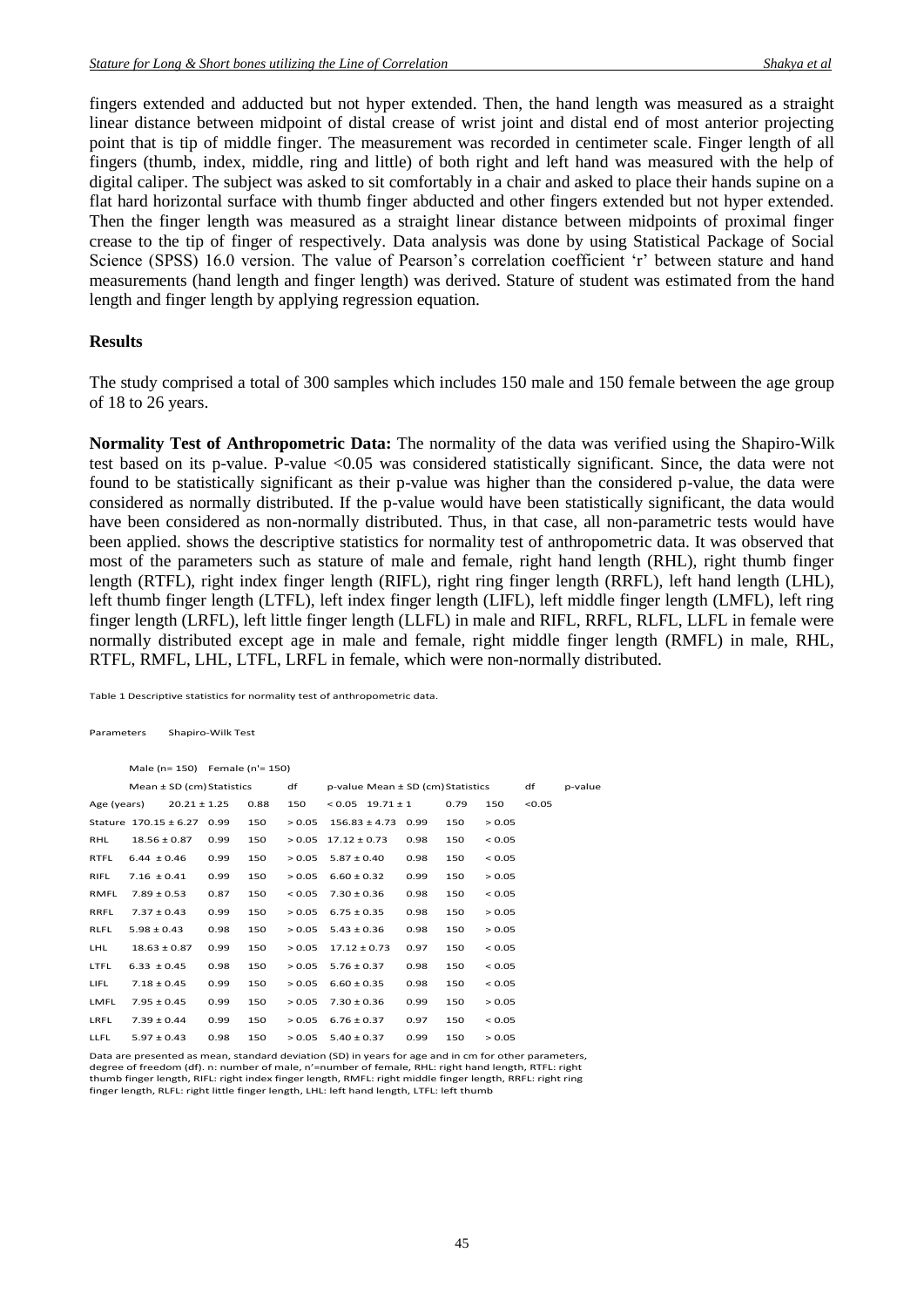fingers extended and adducted but not hyper extended. Then, the hand length was measured as a straight linear distance between midpoint of distal crease of wrist joint and distal end of most anterior projecting point that is tip of middle finger. The measurement was recorded in centimeter scale. Finger length of all fingers (thumb, index, middle, ring and little) of both right and left hand was measured with the help of digital caliper. The subject was asked to sit comfortably in a chair and asked to place their hands supine on a flat hard horizontal surface with thumb finger abducted and other fingers extended but not hyper extended. Then the finger length was measured as a straight linear distance between midpoints of proximal finger crease to the tip of finger of respectively. Data analysis was done by using Statistical Package of Social Science (SPSS) 16.0 version. The value of Pearson's correlation coefficient 'r' between stature and hand measurements (hand length and finger length) was derived. Stature of student was estimated from the hand length and finger length by applying regression equation.

#### **Results**

The study comprised a total of 300 samples which includes 150 male and 150 female between the age group of 18 to 26 years.

**Normality Test of Anthropometric Data:** The normality of the data was verified using the Shapiro-Wilk test based on its p-value. P-value <0.05 was considered statistically significant. Since, the data were not found to be statistically significant as their p-value was higher than the considered p-value, the data were considered as normally distributed. If the p-value would have been statistically significant, the data would have been considered as non-normally distributed. Thus, in that case, all non-parametric tests would have been applied. shows the descriptive statistics for normality test of anthropometric data. It was observed that most of the parameters such as stature of male and female, right hand length (RHL), right thumb finger length (RTFL), right index finger length (RIFL), right ring finger length (RRFL), left hand length (LHL), left thumb finger length (LTFL), left index finger length (LIFL), left middle finger length (LMFL), left ring finger length (LRFL), left little finger length (LLFL) in male and RIFL, RRFL, RLFL, LLFL in female were normally distributed except age in male and female, right middle finger length (RMFL) in male, RHL, RTFL, RMFL, LHL, LTFL, LRFL in female, which were non-normally distributed.

Table 1 Descriptive statistics for normality test of anthropometric data.

Parameters Shapiro-Wilk Test

Male (n= 150) Female (n'= 150) Mean ± SD (cm)Statistics df p-value Mean ± SD (cm)Statistics df p-value Age (years)  $20.21 \pm 1.25$  0.88 150 < 0.05 19.71 ± 1 0.79 150 < 0.05 Stature  $170.15 \pm 6.27$  0.99  $150$   $> 0.05$   $156.83 \pm 4.73$  0.99  $150$   $> 0.05$ RHL 18.56 ± 0.87 0.99 150 > 0.05 17.12 ± 0.73 0.98 150 < 0.05 RTFL  $6.44 \pm 0.46$  0.99 150  $> 0.05$  5.87 $\pm$ 0.40 0.98 150 < 0.05 RIFL 7.16  $\pm 0.41$  0.99 150 > 0.05 6.60  $\pm 0.32$  0.99 150 > 0.05 RMFL  $7.89 \pm 0.53$   $0.87$   $150$   $< 0.05$   $7.30 \pm 0.36$   $0.98$   $150$   $< 0.05$ RRFL  $7.37 \pm 0.43$  0.99 150  $> 0.05$  6.75  $\pm$  0.35 0.98 150  $>$  0.05  $RIFL$  5.98 + 0.43 0.98 150 > 0.05 5.43 + 0.36 0.98 150 > 0.05  $\mu$ HL 18.63 + 0.87 0.99 150 > 0.05 17.12 + 0.73 0.97 150 < 0.05 LTFL  $6.33 \pm 0.45$  0.98 150  $> 0.05$  5.76  $\pm$  0.37 0.98 150  $<$  0.05 LIFL  $7.18 \pm 0.45$  0.99 150  $> 0.05$  6.60  $\pm$  0.35 0.98 150  $< 0.05$ LMFL 7.95  $\pm$  0.45 0.99 150 > 0.05 7.30  $\pm$  0.36 0.99 150 > 0.05 LRFL  $7.39 \pm 0.44$  0.99 150  $> 0.05$  6.76  $\pm 0.37$  0.97 150  $< 0.05$ LLFL  $5.97 \pm 0.43$  0.98 150 > 0.05 5.40  $\pm$  0.37 0.99 150 > 0.05

Data are presented as mean, standard deviation (SD) in years for age and in cm for other parameters, degree of freedom (df). n: number of male, n'=number of female, RHL: right hand length, RTFL: right thumb finger length, RIFL: right index finger length, RMFL: right middle finger length, RRFL: right ring finger length, RLFL: right little finger length, LHL: left hand length, LTFL: left thumb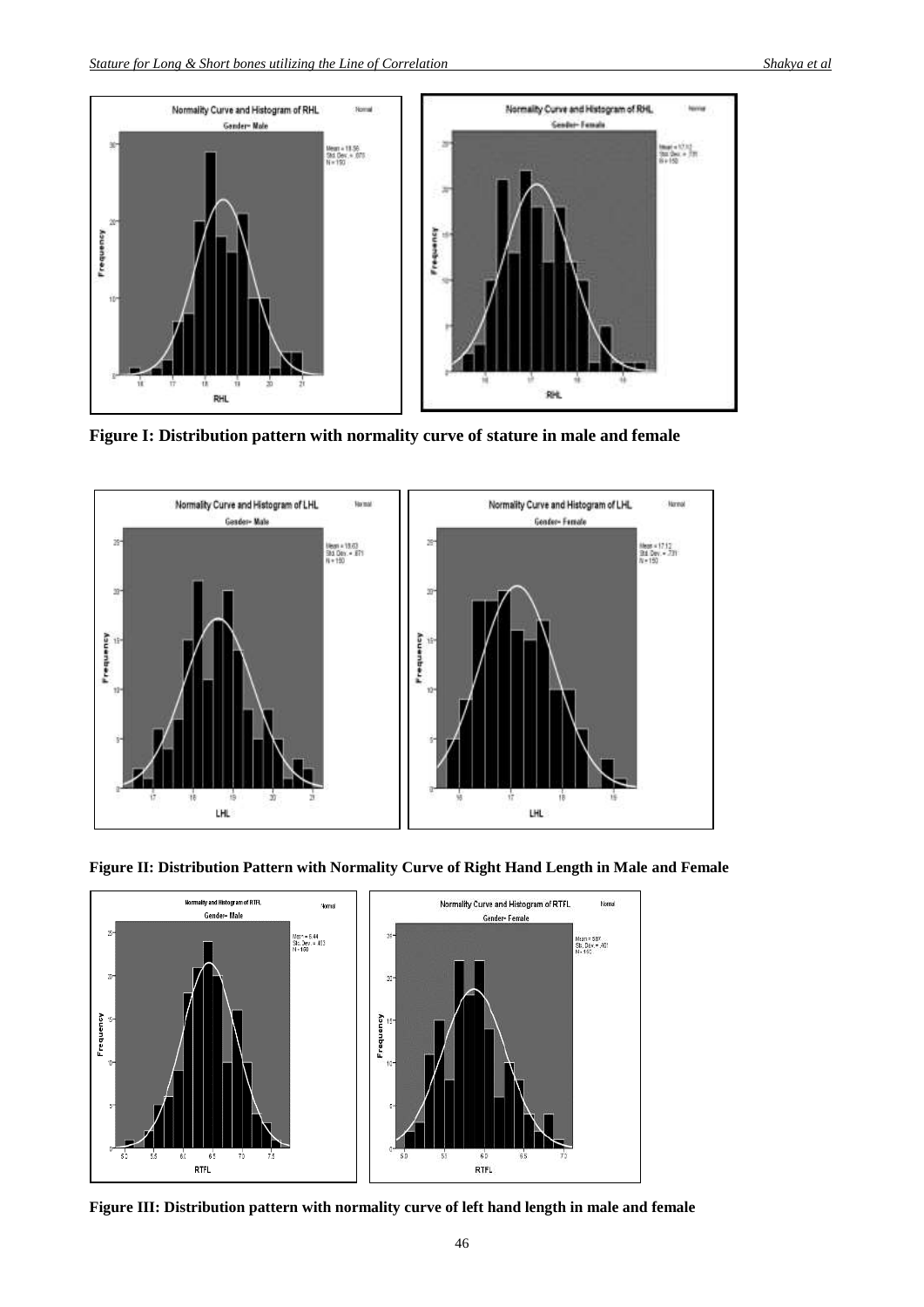

**Figure I: Distribution pattern with normality curve of stature in male and female**



**Figure II: Distribution Pattern with Normality Curve of Right Hand Length in Male and Female**



**Figure III: Distribution pattern with normality curve of left hand length in male and female**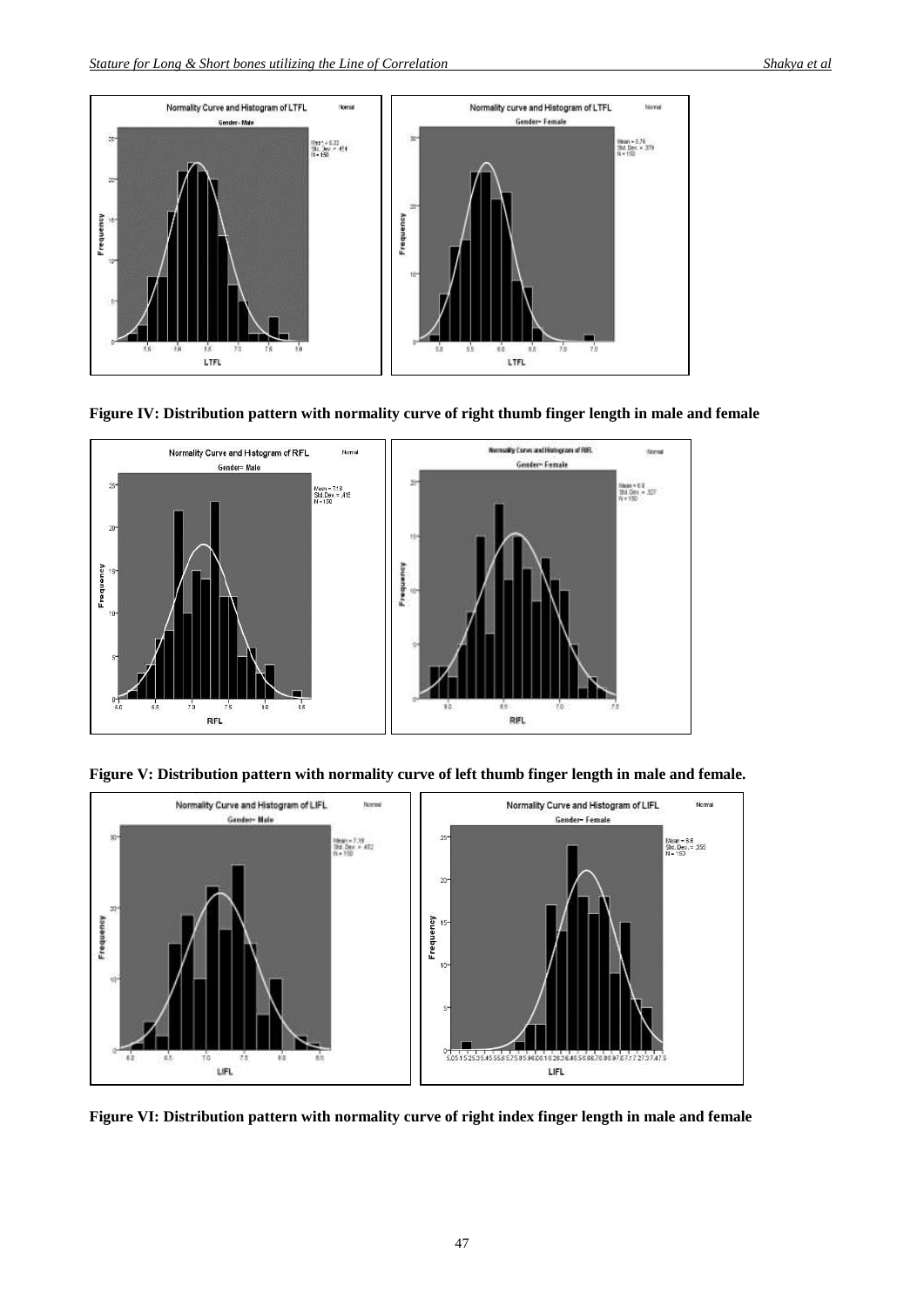

**Figure IV: Distribution pattern with normality curve of right thumb finger length in male and female**



**Figure V: Distribution pattern with normality curve of left thumb finger length in male and female.**



**Figure VI: Distribution pattern with normality curve of right index finger length in male and female**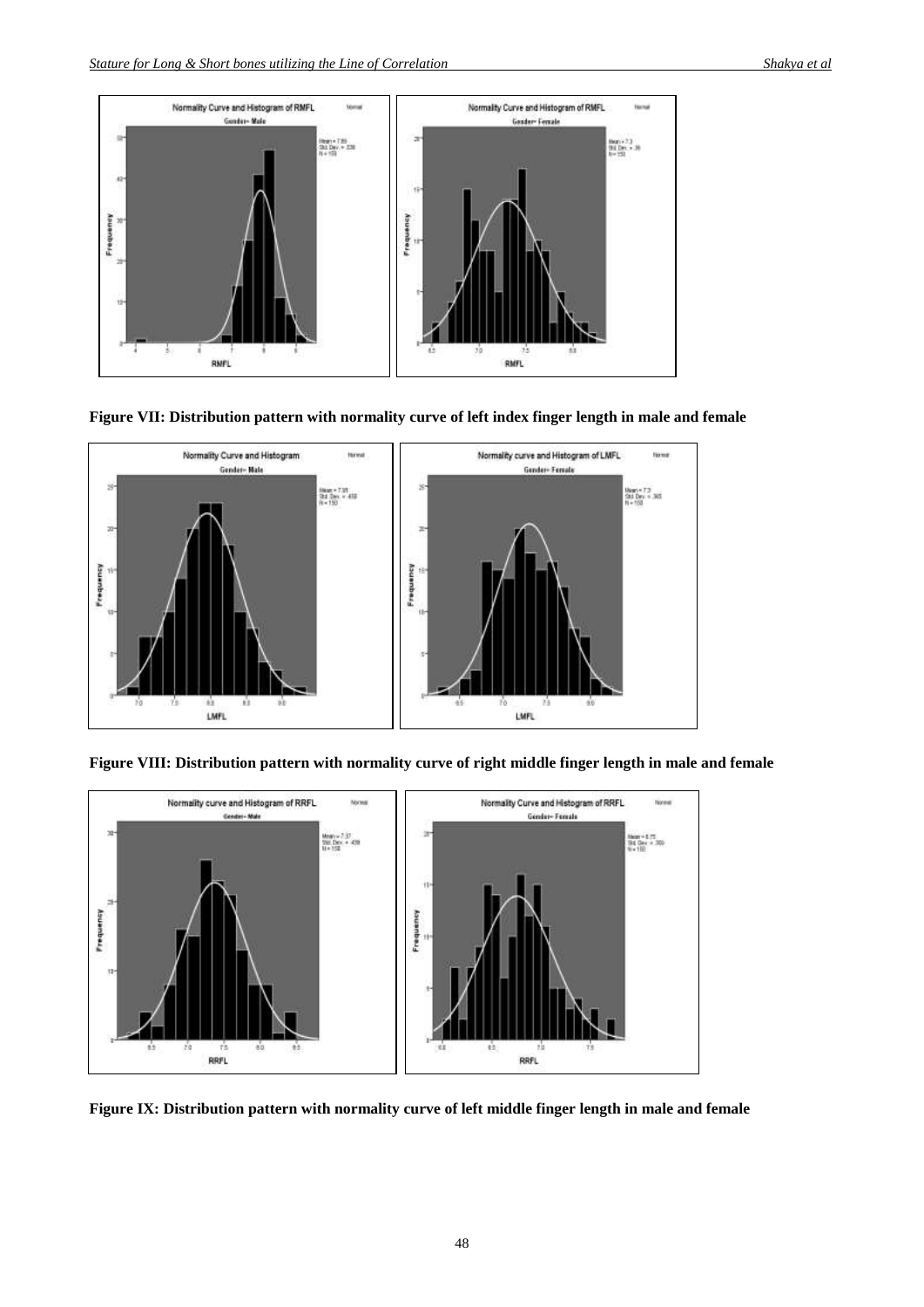

**Figure VII: Distribution pattern with normality curve of left index finger length in male and female**



**Figure VIII: Distribution pattern with normality curve of right middle finger length in male and female**



**Figure IX: Distribution pattern with normality curve of left middle finger length in male and female**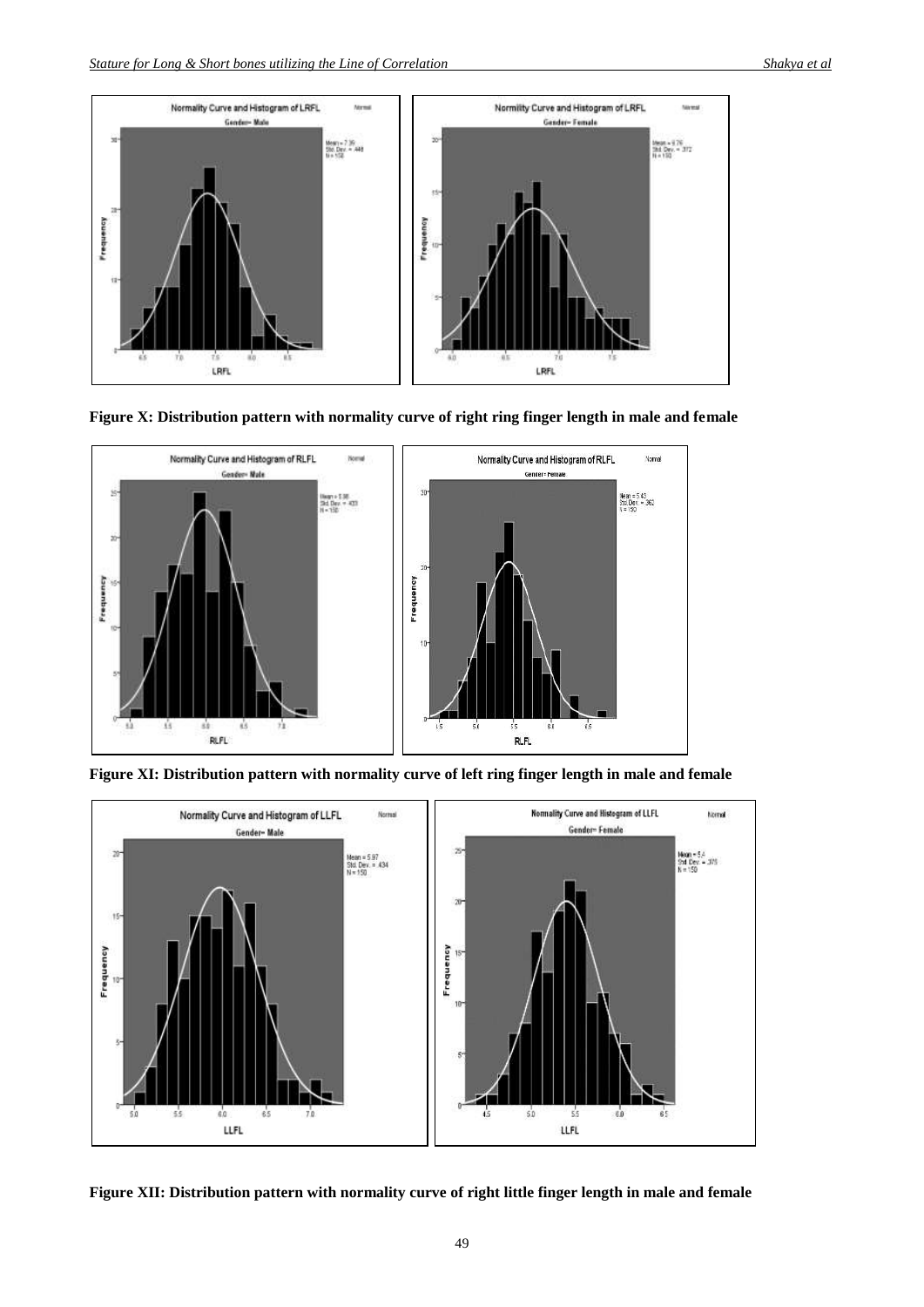

**Figure X: Distribution pattern with normality curve of right ring finger length in male and female**



**Figure XI: Distribution pattern with normality curve of left ring finger length in male and female**



**Figure XII: Distribution pattern with normality curve of right little finger length in male and female**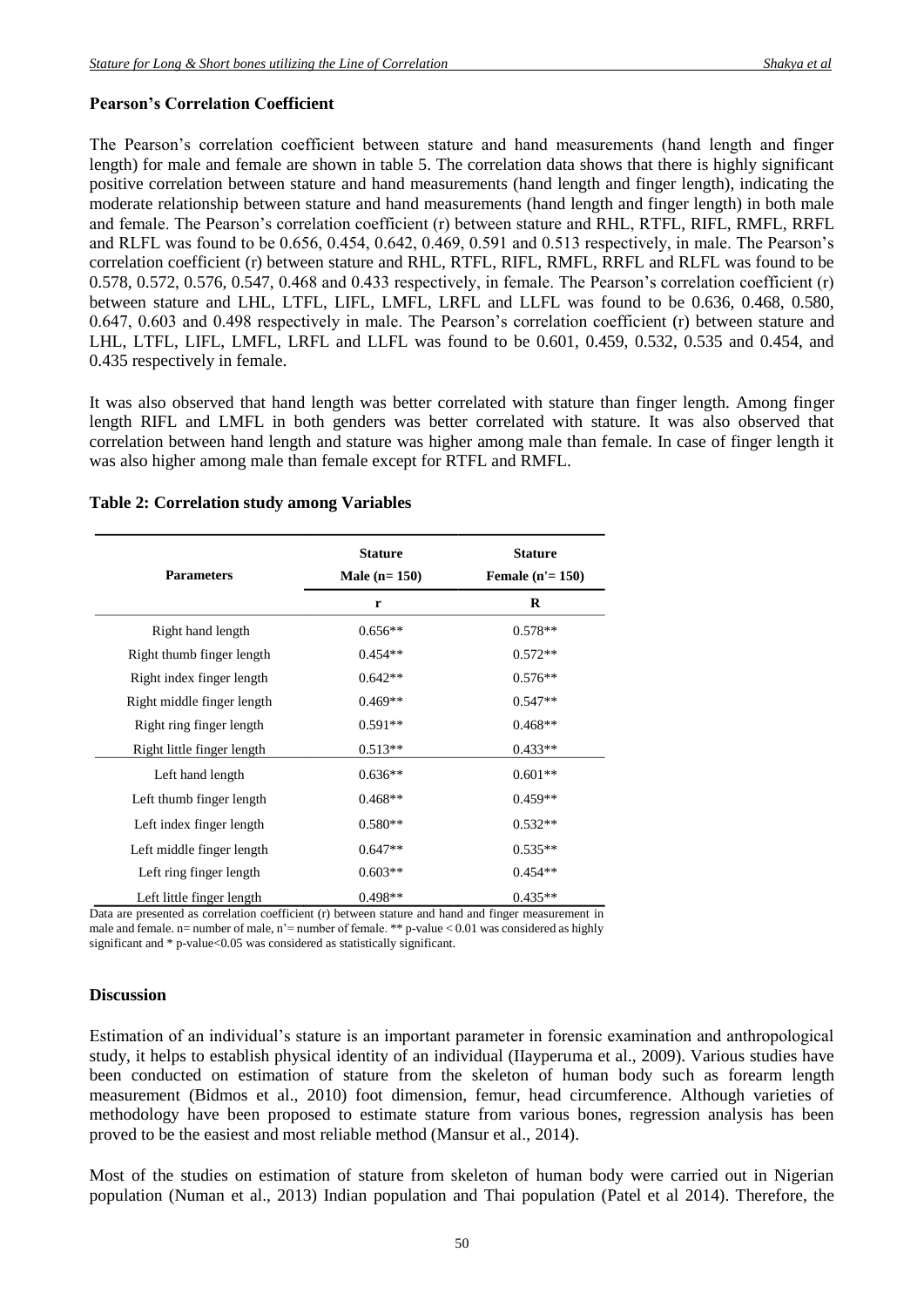## **Pearson's Correlation Coefficient**

The Pearson's correlation coefficient between stature and hand measurements (hand length and finger length) for male and female are shown in table 5. The correlation data shows that there is highly significant positive correlation between stature and hand measurements (hand length and finger length), indicating the moderate relationship between stature and hand measurements (hand length and finger length) in both male and female. The Pearson's correlation coefficient (r) between stature and RHL, RTFL, RIFL, RMFL, RRFL and RLFL was found to be 0.656, 0.454, 0.642, 0.469, 0.591 and 0.513 respectively, in male. The Pearson's correlation coefficient (r) between stature and RHL, RTFL, RIFL, RMFL, RRFL and RLFL was found to be 0.578, 0.572, 0.576, 0.547, 0.468 and 0.433 respectively, in female. The Pearson's correlation coefficient (r) between stature and LHL, LTFL, LIFL, LMFL, LRFL and LLFL was found to be 0.636, 0.468, 0.580, 0.647, 0.603 and 0.498 respectively in male. The Pearson's correlation coefficient (r) between stature and LHL, LTFL, LIFL, LMFL, LRFL and LLFL was found to be 0.601, 0.459, 0.532, 0.535 and 0.454, and 0.435 respectively in female.

It was also observed that hand length was better correlated with stature than finger length. Among finger length RIFL and LMFL in both genders was better correlated with stature. It was also observed that correlation between hand length and stature was higher among male than female. In case of finger length it was also higher among male than female except for RTFL and RMFL.

| <b>Parameters</b>          | <b>Stature</b><br>Male $(n=150)$ | <b>Stature</b><br><b>Female</b> $(n' = 150)$ |
|----------------------------|----------------------------------|----------------------------------------------|
|                            | r                                | R                                            |
| Right hand length          | $0.656**$                        | $0.578**$                                    |
| Right thumb finger length  | $0.454**$                        | $0.572**$                                    |
| Right index finger length  | $0.642**$                        | $0.576**$                                    |
| Right middle finger length | $0.469**$                        | $0.547**$                                    |
| Right ring finger length   | $0.591**$                        | $0.468**$                                    |
| Right little finger length | $0.513**$                        | $0.433**$                                    |
| Left hand length           | $0.636**$                        | $0.601**$                                    |
| Left thumb finger length   | $0.468**$                        | $0.459**$                                    |
| Left index finger length   | $0.580**$                        | $0.532**$                                    |
| Left middle finger length  | $0.647**$                        | $0.535**$                                    |
| Left ring finger length    | $0.603**$                        | $0.454**$                                    |
| Left little finger length  | $0.498**$                        | $0.435**$                                    |

#### **Table 2: Correlation study among Variables**

Data are presented as correlation coefficient (r) between stature and hand and finger measurement in male and female. n= number of male, n'= number of female. \*\* p-value  $< 0.01$  was considered as highly significant and \* p-value<0.05 was considered as statistically significant.

## **Discussion**

Estimation of an individual's stature is an important parameter in forensic examination and anthropological study, it helps to establish physical identity of an individual (IIayperuma et al., 2009). Various studies have been conducted on estimation of stature from the skeleton of human body such as forearm length measurement (Bidmos et al., 2010) foot dimension, femur, head circumference. Although varieties of methodology have been proposed to estimate stature from various bones, regression analysis has been proved to be the easiest and most reliable method (Mansur et al., 2014).

Most of the studies on estimation of stature from skeleton of human body were carried out in Nigerian population (Numan et al., 2013) Indian population and Thai population (Patel et al 2014). Therefore, the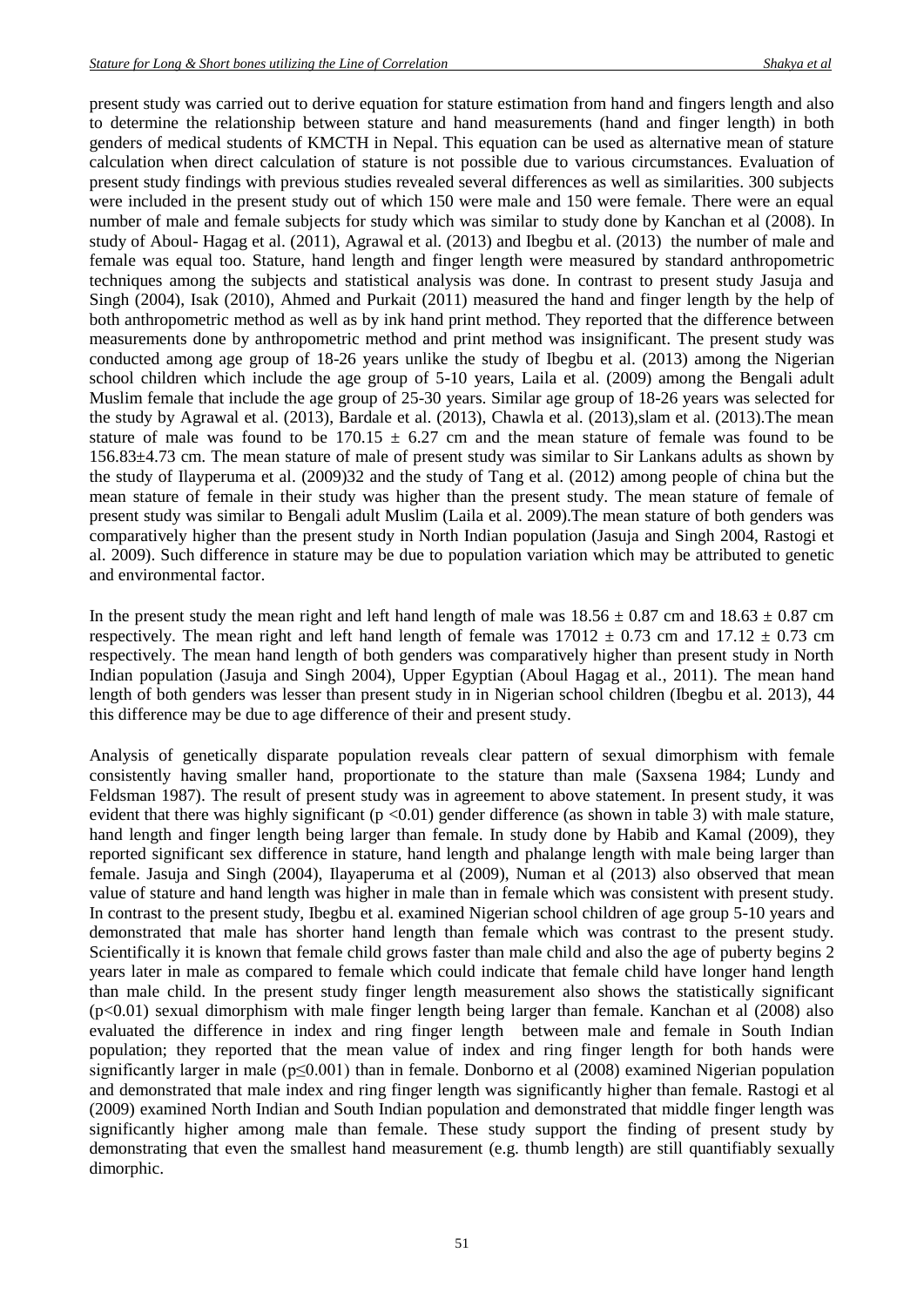present study was carried out to derive equation for stature estimation from hand and fingers length and also to determine the relationship between stature and hand measurements (hand and finger length) in both genders of medical students of KMCTH in Nepal. This equation can be used as alternative mean of stature calculation when direct calculation of stature is not possible due to various circumstances. Evaluation of present study findings with previous studies revealed several differences as well as similarities. 300 subjects were included in the present study out of which 150 were male and 150 were female. There were an equal number of male and female subjects for study which was similar to study done by Kanchan et al (2008). In study of Aboul- Hagag et al. (2011), Agrawal et al. (2013) and Ibegbu et al. (2013) the number of male and female was equal too. Stature, hand length and finger length were measured by standard anthropometric techniques among the subjects and statistical analysis was done. In contrast to present study Jasuja and Singh (2004), Isak (2010), Ahmed and Purkait (2011) measured the hand and finger length by the help of both anthropometric method as well as by ink hand print method. They reported that the difference between measurements done by anthropometric method and print method was insignificant. The present study was conducted among age group of 18-26 years unlike the study of Ibegbu et al. (2013) among the Nigerian school children which include the age group of 5-10 years, Laila et al. (2009) among the Bengali adult Muslim female that include the age group of 25-30 years. Similar age group of 18-26 years was selected for the study by Agrawal et al. (2013), Bardale et al. (2013), Chawla et al. (2013), slam et al. (2013). The mean stature of male was found to be  $170.15 \pm 6.27$  cm and the mean stature of female was found to be 156.83±4.73 cm. The mean stature of male of present study was similar to Sir Lankans adults as shown by the study of Ilayperuma et al. (2009)32 and the study of Tang et al. (2012) among people of china but the mean stature of female in their study was higher than the present study. The mean stature of female of present study was similar to Bengali adult Muslim (Laila et al. 2009).The mean stature of both genders was comparatively higher than the present study in North Indian population (Jasuja and Singh 2004, Rastogi et al. 2009). Such difference in stature may be due to population variation which may be attributed to genetic and environmental factor.

In the present study the mean right and left hand length of male was  $18.56 \pm 0.87$  cm and  $18.63 \pm 0.87$  cm respectively. The mean right and left hand length of female was  $17012 \pm 0.73$  cm and  $17.12 \pm 0.73$  cm respectively. The mean hand length of both genders was comparatively higher than present study in North Indian population (Jasuja and Singh 2004), Upper Egyptian (Aboul Hagag et al., 2011). The mean hand length of both genders was lesser than present study in in Nigerian school children (Ibegbu et al. 2013), 44 this difference may be due to age difference of their and present study.

Analysis of genetically disparate population reveals clear pattern of sexual dimorphism with female consistently having smaller hand, proportionate to the stature than male (Saxsena 1984; Lundy and Feldsman 1987). The result of present study was in agreement to above statement. In present study, it was evident that there was highly significant ( $p < 0.01$ ) gender difference (as shown in table 3) with male stature, hand length and finger length being larger than female. In study done by Habib and Kamal (2009), they reported significant sex difference in stature, hand length and phalange length with male being larger than female. Jasuja and Singh (2004), Ilayaperuma et al (2009), Numan et al (2013) also observed that mean value of stature and hand length was higher in male than in female which was consistent with present study. In contrast to the present study, Ibegbu et al. examined Nigerian school children of age group 5-10 years and demonstrated that male has shorter hand length than female which was contrast to the present study. Scientifically it is known that female child grows faster than male child and also the age of puberty begins 2 years later in male as compared to female which could indicate that female child have longer hand length than male child. In the present study finger length measurement also shows the statistically significant (p<0.01) sexual dimorphism with male finger length being larger than female. Kanchan et al (2008) also evaluated the difference in index and ring finger length between male and female in South Indian population; they reported that the mean value of index and ring finger length for both hands were significantly larger in male (p≤0.001) than in female. Donborno et al (2008) examined Nigerian population and demonstrated that male index and ring finger length was significantly higher than female. Rastogi et al (2009) examined North Indian and South Indian population and demonstrated that middle finger length was significantly higher among male than female. These study support the finding of present study by demonstrating that even the smallest hand measurement (e.g. thumb length) are still quantifiably sexually dimorphic.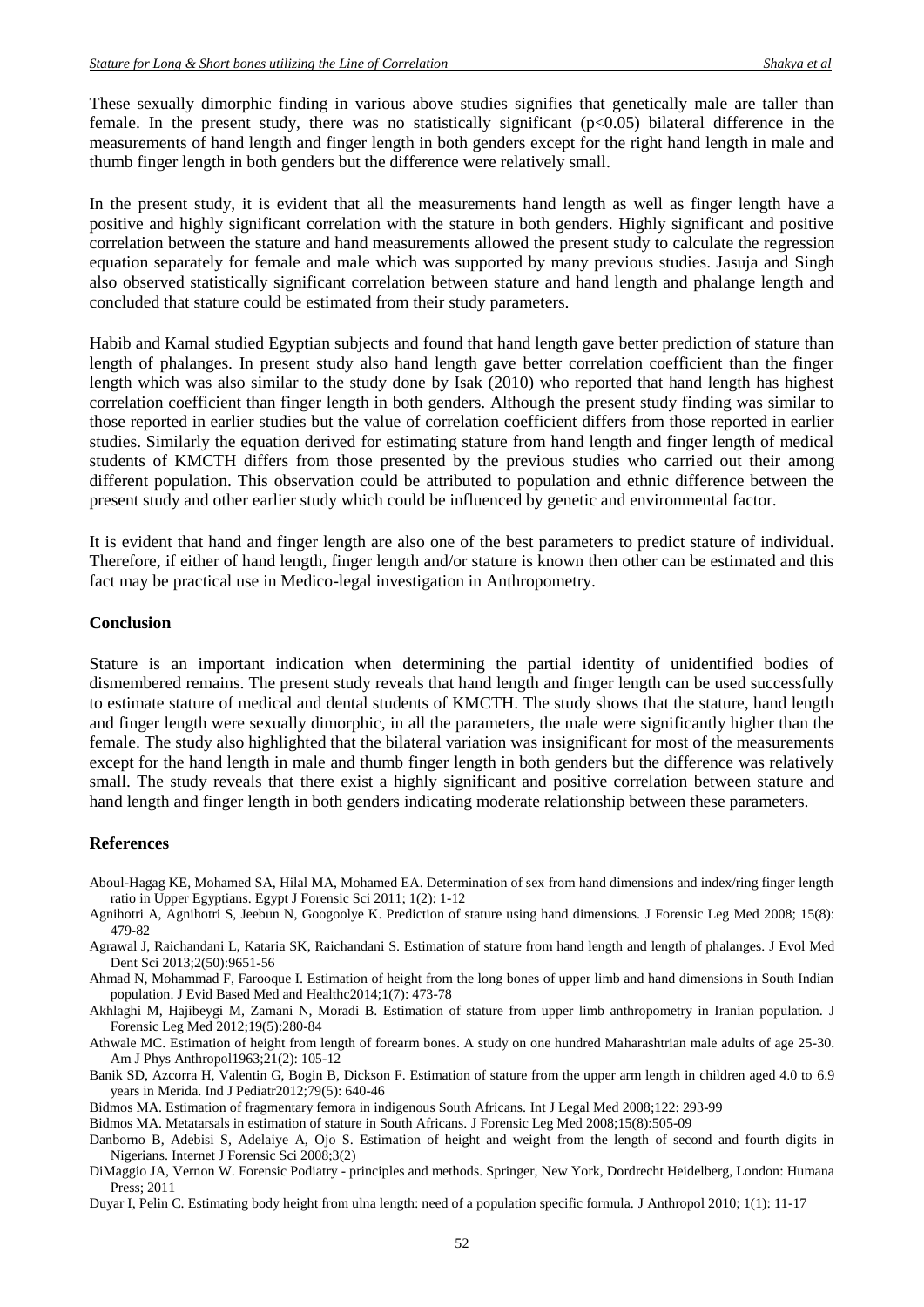These sexually dimorphic finding in various above studies signifies that genetically male are taller than female. In the present study, there was no statistically significant  $(p<0.05)$  bilateral difference in the measurements of hand length and finger length in both genders except for the right hand length in male and thumb finger length in both genders but the difference were relatively small.

In the present study, it is evident that all the measurements hand length as well as finger length have a positive and highly significant correlation with the stature in both genders. Highly significant and positive correlation between the stature and hand measurements allowed the present study to calculate the regression equation separately for female and male which was supported by many previous studies. Jasuja and Singh also observed statistically significant correlation between stature and hand length and phalange length and concluded that stature could be estimated from their study parameters.

Habib and Kamal studied Egyptian subjects and found that hand length gave better prediction of stature than length of phalanges. In present study also hand length gave better correlation coefficient than the finger length which was also similar to the study done by Isak (2010) who reported that hand length has highest correlation coefficient than finger length in both genders. Although the present study finding was similar to those reported in earlier studies but the value of correlation coefficient differs from those reported in earlier studies. Similarly the equation derived for estimating stature from hand length and finger length of medical students of KMCTH differs from those presented by the previous studies who carried out their among different population. This observation could be attributed to population and ethnic difference between the present study and other earlier study which could be influenced by genetic and environmental factor.

It is evident that hand and finger length are also one of the best parameters to predict stature of individual. Therefore, if either of hand length, finger length and/or stature is known then other can be estimated and this fact may be practical use in Medico-legal investigation in Anthropometry.

#### **Conclusion**

Stature is an important indication when determining the partial identity of unidentified bodies of dismembered remains. The present study reveals that hand length and finger length can be used successfully to estimate stature of medical and dental students of KMCTH. The study shows that the stature, hand length and finger length were sexually dimorphic, in all the parameters, the male were significantly higher than the female. The study also highlighted that the bilateral variation was insignificant for most of the measurements except for the hand length in male and thumb finger length in both genders but the difference was relatively small. The study reveals that there exist a highly significant and positive correlation between stature and hand length and finger length in both genders indicating moderate relationship between these parameters.

#### **References**

Aboul-Hagag KE, Mohamed SA, Hilal MA, Mohamed EA. Determination of sex from hand dimensions and index/ring finger length ratio in Upper Egyptians. Egypt J Forensic Sci 2011; 1(2): 1-12

- Agnihotri A, Agnihotri S, Jeebun N, Googoolye K. Prediction of stature using hand dimensions. J Forensic Leg Med 2008; 15(8): 479-82
- Agrawal J, Raichandani L, Kataria SK, Raichandani S. Estimation of stature from hand length and length of phalanges. J Evol Med Dent Sci 2013;2(50):9651-56

Ahmad N, Mohammad F, Farooque I. Estimation of height from the long bones of upper limb and hand dimensions in South Indian population. J Evid Based Med and Healthc2014;1(7): 473-78

Akhlaghi M, Hajibeygi M, Zamani N, Moradi B. Estimation of stature from upper limb anthropometry in Iranian population. J Forensic Leg Med 2012;19(5):280-84

Athwale MC. Estimation of height from length of forearm bones. A study on one hundred Maharashtrian male adults of age 25-30. Am J Phys Anthropol1963;21(2): 105-12

Banik SD, Azcorra H, Valentin G, Bogin B, Dickson F. Estimation of stature from the upper arm length in children aged 4.0 to 6.9 years in Merida. Ind J Pediatr2012;79(5): 640-46

Bidmos MA. Estimation of fragmentary femora in indigenous South Africans. Int J Legal Med 2008;122: 293-99

Bidmos MA. Metatarsals in estimation of stature in South Africans. J Forensic Leg Med 2008;15(8):505-09

Danborno B, Adebisi S, Adelaiye A, Ojo S. Estimation of height and weight from the length of second and fourth digits in Nigerians. Internet J Forensic Sci 2008;3(2)

DiMaggio JA, Vernon W. Forensic Podiatry - principles and methods. Springer, New York, Dordrecht Heidelberg, London: Humana Press; 2011

Duyar I, Pelin C. Estimating body height from ulna length: need of a population specific formula. J Anthropol 2010; 1(1): 11-17